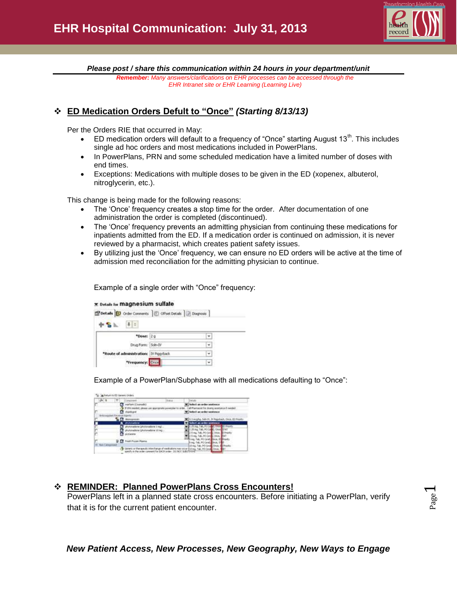

*Please post / share this communication within 24 hours in your department/unit*

*Remember: Many answers/clarifications on EHR processes can be accessed through the EHR Intranet site or EHR Learning (Learning Live)*

## **ED Medication Orders Defult to "Once"** *(Starting 8/13/13)*

Per the Orders RIE that occurred in May:

- $\bullet$  ED medication orders will default to a frequency of "Once" starting August 13<sup>th</sup>. This includes single ad hoc orders and most medications included in PowerPlans.
- In PowerPlans, PRN and some scheduled medication have a limited number of doses with end times.
- Exceptions: Medications with multiple doses to be given in the ED (xopenex, albuterol, nitroglycerin, etc.).

This change is being made for the following reasons:

- The 'Once' frequency creates a stop time for the order. After documentation of one administration the order is completed (discontinued).
- The 'Once' frequency prevents an admitting physician from continuing these medications for inpatients admitted from the ED. If a medication order is continued on admission, it is never reviewed by a pharmacist, which creates patient safety issues.
- By utilizing just the 'Once' frequency, we can ensure no ED orders will be active at the time of admission med reconciliation for the admitting physician to continue.

| Example of a single order with "Once" frequency: |  |  |
|--------------------------------------------------|--|--|
|                                                  |  |  |

| Details <b>D</b> Order Commerts <b>C</b> Offset Details <b>C</b> Diagnosis |   |
|----------------------------------------------------------------------------|---|
| $\frac{1}{2}$<br>S. N.                                                     |   |
| *Dose: 20                                                                  |   |
| Drug Form: Soln-IV                                                         | ٧ |
| *Route of administration: IV Piggyback                                     | ۷ |
| *Frequency: Crice                                                          |   |

Example of a PowerPlan/Subphase with all medications defaulting to "Once":

|                             |                                  |  | Select an order sentence                           |  |
|-----------------------------|----------------------------------|--|----------------------------------------------------|--|
|                             |                                  |  | mackt for doang assistance if nee                  |  |
| disposed                    |                                  |  | Select an order sentence                           |  |
|                             |                                  |  |                                                    |  |
| <b>Roncorena</b>            |                                  |  | 16 1 might, Stivill, IV Pappback, Once, 63 Prentis |  |
| <b>6</b> Potmakee           |                                  |  | Telest an order sentrosy                           |  |
|                             | Unit i svidantelligt andare t    |  | D Preside                                          |  |
|                             | iylanadisin (photonadoru 18 mg.) |  | <b>Texas</b>                                       |  |
| potenne                     |                                  |  |                                                    |  |
|                             |                                  |  |                                                    |  |
| <b>U.C. Fred From Porns</b> |                                  |  |                                                    |  |
|                             |                                  |  |                                                    |  |

## **REMINDER: Planned PowerPlans Cross Encounters!**

PowerPlans left in a planned state cross encounters. Before initiating a PowerPlan, verify that it is for the current patient encounter.